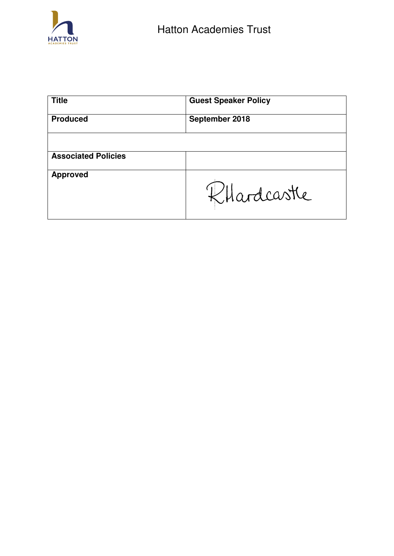

| <b>Title</b>               | <b>Guest Speaker Policy</b> |
|----------------------------|-----------------------------|
| <b>Produced</b>            | September 2018              |
|                            |                             |
| <b>Associated Policies</b> |                             |
| <b>Approved</b>            | Khardcastle                 |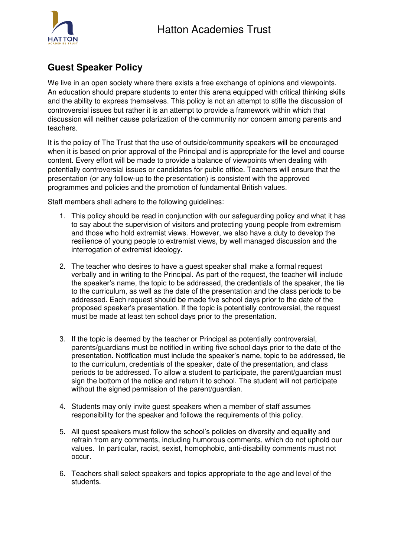

# **Guest Speaker Policy**

We live in an open society where there exists a free exchange of opinions and viewpoints. An education should prepare students to enter this arena equipped with critical thinking skills and the ability to express themselves. This policy is not an attempt to stifle the discussion of controversial issues but rather it is an attempt to provide a framework within which that discussion will neither cause polarization of the community nor concern among parents and teachers.

It is the policy of The Trust that the use of outside/community speakers will be encouraged when it is based on prior approval of the Principal and is appropriate for the level and course content. Every effort will be made to provide a balance of viewpoints when dealing with potentially controversial issues or candidates for public office. Teachers will ensure that the presentation (or any follow-up to the presentation) is consistent with the approved programmes and policies and the promotion of fundamental British values.

Staff members shall adhere to the following guidelines:

- 1. This policy should be read in conjunction with our safeguarding policy and what it has to say about the supervision of visitors and protecting young people from extremism and those who hold extremist views. However, we also have a duty to develop the resilience of young people to extremist views, by well managed discussion and the interrogation of extremist ideology.
- 2. The teacher who desires to have a guest speaker shall make a formal request verbally and in writing to the Principal. As part of the request, the teacher will include the speaker's name, the topic to be addressed, the credentials of the speaker, the tie to the curriculum, as well as the date of the presentation and the class periods to be addressed. Each request should be made five school days prior to the date of the proposed speaker's presentation. If the topic is potentially controversial, the request must be made at least ten school days prior to the presentation.
- 3. If the topic is deemed by the teacher or Principal as potentially controversial, parents/guardians must be notified in writing five school days prior to the date of the presentation. Notification must include the speaker's name, topic to be addressed, tie to the curriculum, credentials of the speaker, date of the presentation, and class periods to be addressed. To allow a student to participate, the parent/guardian must sign the bottom of the notice and return it to school. The student will not participate without the signed permission of the parent/guardian.
- 4. Students may only invite guest speakers when a member of staff assumes responsibility for the speaker and follows the requirements of this policy.
- 5. All quest speakers must follow the school's policies on diversity and equality and refrain from any comments, including humorous comments, which do not uphold our values. In particular, racist, sexist, homophobic, anti-disability comments must not occur.
- 6. Teachers shall select speakers and topics appropriate to the age and level of the students.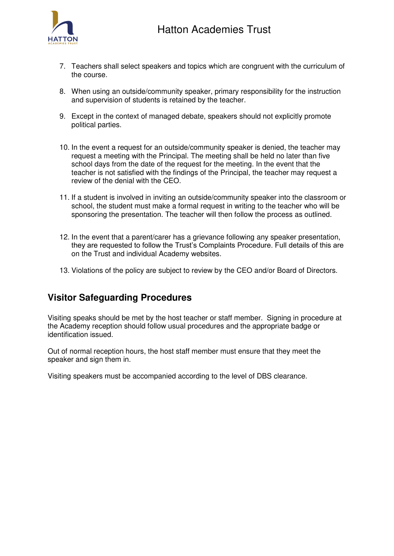

- 7. Teachers shall select speakers and topics which are congruent with the curriculum of the course.
- 8. When using an outside/community speaker, primary responsibility for the instruction and supervision of students is retained by the teacher.
- 9. Except in the context of managed debate, speakers should not explicitly promote political parties.
- 10. In the event a request for an outside/community speaker is denied, the teacher may request a meeting with the Principal. The meeting shall be held no later than five school days from the date of the request for the meeting. In the event that the teacher is not satisfied with the findings of the Principal, the teacher may request a review of the denial with the CEO.
- 11. If a student is involved in inviting an outside/community speaker into the classroom or school, the student must make a formal request in writing to the teacher who will be sponsoring the presentation. The teacher will then follow the process as outlined.
- 12. In the event that a parent/carer has a grievance following any speaker presentation, they are requested to follow the Trust's Complaints Procedure. Full details of this are on the Trust and individual Academy websites.
- 13. Violations of the policy are subject to review by the CEO and/or Board of Directors.

## **Visitor Safeguarding Procedures**

Visiting speaks should be met by the host teacher or staff member. Signing in procedure at the Academy reception should follow usual procedures and the appropriate badge or identification issued.

Out of normal reception hours, the host staff member must ensure that they meet the speaker and sign them in.

Visiting speakers must be accompanied according to the level of DBS clearance.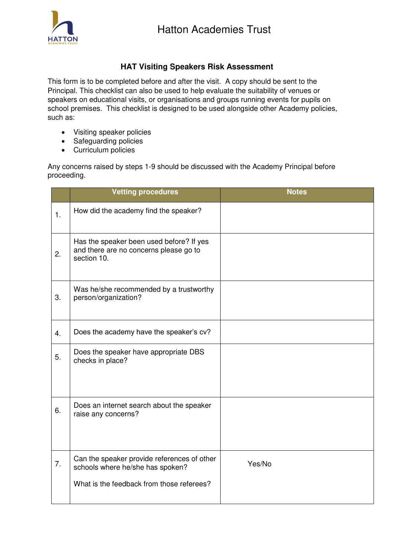



### **HAT Visiting Speakers Risk Assessment**

This form is to be completed before and after the visit. A copy should be sent to the Principal. This checklist can also be used to help evaluate the suitability of venues or speakers on educational visits, or organisations and groups running events for pupils on school premises. This checklist is designed to be used alongside other Academy policies, such as:

- Visiting speaker policies
- Safeguarding policies
- Curriculum policies

Any concerns raised by steps 1-9 should be discussed with the Academy Principal before proceeding.

|    | <b>Vetting procedures</b>                                                                         | <b>Notes</b> |
|----|---------------------------------------------------------------------------------------------------|--------------|
| 1. | How did the academy find the speaker?                                                             |              |
| 2. | Has the speaker been used before? If yes<br>and there are no concerns please go to<br>section 10. |              |
| 3. | Was he/she recommended by a trustworthy<br>person/organization?                                   |              |
| 4. | Does the academy have the speaker's cv?                                                           |              |
| 5. | Does the speaker have appropriate DBS<br>checks in place?                                         |              |
| 6. | Does an internet search about the speaker<br>raise any concerns?                                  |              |
| 7. | Can the speaker provide references of other<br>schools where he/she has spoken?                   | Yes/No       |
|    | What is the feedback from those referees?                                                         |              |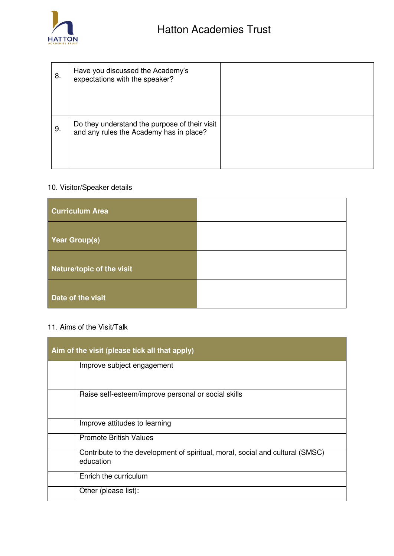

| 8. | Have you discussed the Academy's<br>expectations with the speaker?                       |  |
|----|------------------------------------------------------------------------------------------|--|
| 9. | Do they understand the purpose of their visit<br>and any rules the Academy has in place? |  |

### 10. Visitor/Speaker details

| <b>Curriculum Area</b>    |  |
|---------------------------|--|
| Year Group(s)             |  |
| Nature/topic of the visit |  |
| Date of the visit         |  |

#### 11. Aims of the Visit/Talk

| Aim of the visit (please tick all that apply) |                                                                                            |  |
|-----------------------------------------------|--------------------------------------------------------------------------------------------|--|
|                                               | Improve subject engagement                                                                 |  |
|                                               | Raise self-esteem/improve personal or social skills                                        |  |
|                                               | Improve attitudes to learning                                                              |  |
|                                               | <b>Promote British Values</b>                                                              |  |
|                                               | Contribute to the development of spiritual, moral, social and cultural (SMSC)<br>education |  |
|                                               | Enrich the curriculum                                                                      |  |
|                                               | Other (please list):                                                                       |  |